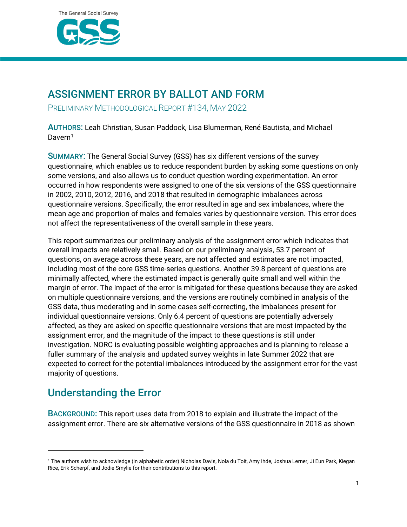

### ASSIGNMENT ERROR BY BALLOT AND FORM

PRELIMINARY METHODOLOGICAL REPORT #134, MAY 2022

AUTHORS: Leah Christian, Susan Paddock, Lisa Blumerman, René Bautista, and Michael Davern<sup>[1](#page-0-0)</sup>

SUMMARY: The General Social Survey (GSS) has six different versions of the survey questionnaire, which enables us to reduce respondent burden by asking some questions on only some versions, and also allows us to conduct question wording experimentation. An error occurred in how respondents were assigned to one of the six versions of the GSS questionnaire in 2002, 2010, 2012, 2016, and 2018 that resulted in demographic imbalances across questionnaire versions. Specifically, the error resulted in age and sex imbalances, where the mean age and proportion of males and females varies by questionnaire version. This error does not affect the representativeness of the overall sample in these years.

This report summarizes our preliminary analysis of the assignment error which indicates that overall impacts are relatively small. Based on our preliminary analysis, 53.7 percent of questions, on average across these years, are not affected and estimates are not impacted, including most of the core GSS time-series questions. Another 39.8 percent of questions are minimally affected, where the estimated impact is generally quite small and well within the margin of error. The impact of the error is mitigated for these questions because they are asked on multiple questionnaire versions, and the versions are routinely combined in analysis of the GSS data, thus moderating and in some cases self-correcting, the imbalances present for individual questionnaire versions. Only 6.4 percent of questions are potentially adversely affected, as they are asked on specific questionnaire versions that are most impacted by the assignment error, and the magnitude of the impact to these questions is still under investigation. NORC is evaluating possible weighting approaches and is planning to release a fuller summary of the analysis and updated survey weights in late Summer 2022 that are expected to correct for the potential imbalances introduced by the assignment error for the vast majority of questions.

### Understanding the Error

BACKGROUND: This report uses data from 2018 to explain and illustrate the impact of the assignment error. There are six alternative versions of the GSS questionnaire in 2018 as shown

<span id="page-0-0"></span><sup>1</sup> The authors wish to acknowledge (in alphabetic order) Nicholas Davis, Nola du Toit, Amy Ihde, Joshua Lerner, Ji Eun Park, Kiegan Rice, Erik Scherpf, and Jodie Smylie for their contributions to this report.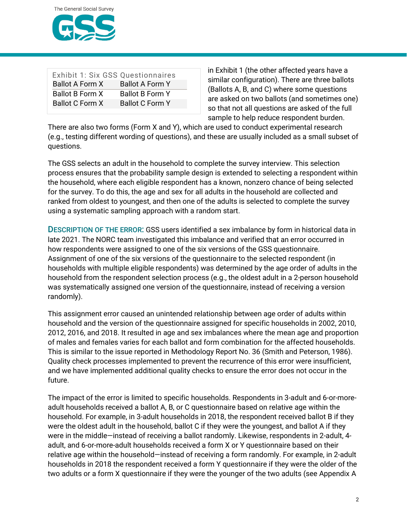

| <b>Exhibit 1: Six GSS Questionnaires</b> |                        |
|------------------------------------------|------------------------|
| <b>Ballot A Form X</b>                   | <b>Ballot A Form Y</b> |
| Ballot B Form X                          | <b>Ballot B Form Y</b> |
| <b>Ballot C Form X</b>                   | Ballot C Form Y        |
|                                          |                        |

in Exhibit 1 (the other affected years have a similar configuration). There are three ballots (Ballots A, B, and C) where some questions are asked on two ballots (and sometimes one) so that not all questions are asked of the full sample to help reduce respondent burden.

There are also two forms (Form X and Y), which are used to conduct experimental research (e.g., testing different wording of questions), and these are usually included as a small subset of questions.

The GSS selects an adult in the household to complete the survey interview. This selection process ensures that the probability sample design is extended to selecting a respondent within the household, where each eligible respondent has a known, nonzero chance of being selected for the survey. To do this, the age and sex for all adults in the household are collected and ranked from oldest to youngest, and then one of the adults is selected to complete the survey using a systematic sampling approach with a random start.

DESCRIPTION OF THE ERROR: GSS users identified a sex imbalance by form in historical data in late 2021. The NORC team investigated this imbalance and verified that an error occurred in how respondents were assigned to one of the six versions of the GSS questionnaire. Assignment of one of the six versions of the questionnaire to the selected respondent (in households with multiple eligible respondents) was determined by the age order of adults in the household from the respondent selection process (e.g., the oldest adult in a 2-person household was systematically assigned one version of the questionnaire, instead of receiving a version randomly).

This assignment error caused an unintended relationship between age order of adults within household and the version of the questionnaire assigned for specific households in 2002, 2010, 2012, 2016, and 2018. It resulted in age and sex imbalances where the mean age and proportion of males and females varies for each ballot and form combination for the affected households. This is similar to the issue reported in Methodology Report No. 36 (Smith and Peterson, 1986). Quality check processes implemented to prevent the recurrence of this error were insufficient, and we have implemented additional quality checks to ensure the error does not occur in the future.

The impact of the error is limited to specific households. Respondents in 3-adult and 6-or-moreadult households received a ballot A, B, or C questionnaire based on relative age within the household. For example, in 3-adult households in 2018, the respondent received ballot B if they were the oldest adult in the household, ballot C if they were the youngest, and ballot A if they were in the middle—instead of receiving a ballot randomly. Likewise, respondents in 2-adult, 4 adult, and 6-or-more-adult households received a form X or Y questionnaire based on their relative age within the household—instead of receiving a form randomly. For example, in 2-adult households in 2018 the respondent received a form Y questionnaire if they were the older of the two adults or a form X questionnaire if they were the younger of the two adults (see Appendix A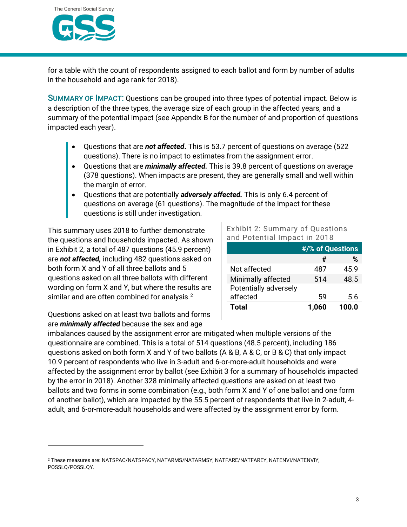

for a table with the count of respondents assigned to each ballot and form by number of adults in the household and age rank for 2018).

SUMMARY OF IMPACT: Questions can be grouped into three types of potential impact. Below is a description of the three types, the average size of each group in the affected years, and a summary of the potential impact (see Appendix B for the number of and proportion of questions impacted each year).

- Questions that are *not affected***.** This is 53.7 percent of questions on average (522 questions). There is no impact to estimates from the assignment error.
- Questions that are *minimally affected.* This is 39.8 percent of questions on average (378 questions). When impacts are present, they are generally small and well within the margin of error.
- Questions that are potentially *adversely affected.* This is only 6.4 percent of questions on average (61 questions). The magnitude of the impact for these questions is still under investigation.

This summary uses 2018 to further demonstrate the questions and households impacted. As shown in Exhibit 2, a total of 487 questions (45.9 percent) are *not affected,* including 482 questions asked on both form X and Y of all three ballots and 5 questions asked on all three ballots with different wording on form X and Y, but where the results are similar and are often combined for analysis.<sup>[2](#page-2-0)</sup>

Exhibit 2: Summary of Questions and Potential Impact in 2018

|                       | #/% of Questions |       |  |  |  |
|-----------------------|------------------|-------|--|--|--|
|                       | #                | %     |  |  |  |
| Not affected          | 487              | 45.9  |  |  |  |
| Minimally affected    | 514              | 48.5  |  |  |  |
| Potentially adversely |                  |       |  |  |  |
| affected              | 59               | 5.6   |  |  |  |
| Total                 | 1,060            | 100.0 |  |  |  |
|                       |                  |       |  |  |  |

Questions asked on at least two ballots and forms are *minimally affected* because the sex and age

imbalances caused by the assignment error are mitigated when multiple versions of the questionnaire are combined. This is a total of 514 questions (48.5 percent), including 186 questions asked on both form X and Y of two ballots (A & B, A & C, or B & C) that only impact 10.9 percent of respondents who live in 3-adult and 6-or-more-adult households and were affected by the assignment error by ballot (see Exhibit 3 for a summary of households impacted by the error in 2018). Another 328 minimally affected questions are asked on at least two ballots and two forms in some combination (e.g., both form X and Y of one ballot and one form of another ballot), which are impacted by the 55.5 percent of respondents that live in 2-adult, 4 adult, and 6-or-more-adult households and were affected by the assignment error by form.

<span id="page-2-0"></span><sup>2</sup> These measures are: NATSPAC/NATSPACY, NATARMS/NATARMSY, NATFARE/NATFAREY, NATENVI/NATENVIY, POSSLQ/POSSLQY.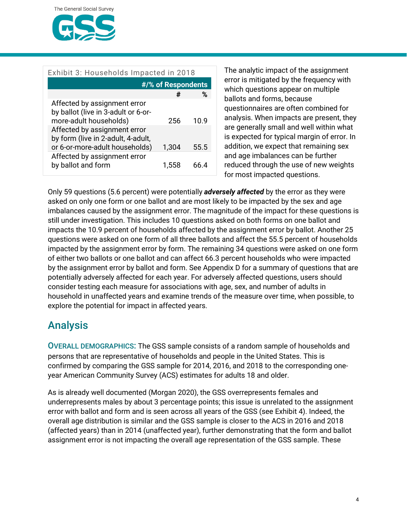

| Exhibit 3: Households Impacted in 2018                                                                                                                              |                    |      |  |  |  |  |  |  |
|---------------------------------------------------------------------------------------------------------------------------------------------------------------------|--------------------|------|--|--|--|--|--|--|
|                                                                                                                                                                     | #/% of Respondents |      |  |  |  |  |  |  |
|                                                                                                                                                                     | #                  | %    |  |  |  |  |  |  |
| Affected by assignment error<br>by ballot (live in 3-adult or 6-or-<br>more-adult households)<br>Affected by assignment error<br>by form (live in 2-adult, 4-adult, | 256                | 10.9 |  |  |  |  |  |  |
| or 6-or-more-adult households)                                                                                                                                      | 1,304              | 55.5 |  |  |  |  |  |  |
| Affected by assignment error<br>by ballot and form                                                                                                                  | 1.558              | 66 4 |  |  |  |  |  |  |

The analytic impact of the assignment error is mitigated by the frequency with which questions appear on multiple ballots and forms, because questionnaires are often combined for analysis. When impacts are present, they are generally small and well within what is expected for typical margin of error. In addition, we expect that remaining sex and age imbalances can be further reduced through the use of new weights for most impacted questions.

Only 59 questions (5.6 percent) were potentially *adversely affected* by the error as they were asked on only one form or one ballot and are most likely to be impacted by the sex and age imbalances caused by the assignment error. The magnitude of the impact for these questions is still under investigation. This includes 10 questions asked on both forms on one ballot and impacts the 10.9 percent of households affected by the assignment error by ballot. Another 25 questions were asked on one form of all three ballots and affect the 55.5 percent of households impacted by the assignment error by form. The remaining 34 questions were asked on one form of either two ballots or one ballot and can affect 66.3 percent households who were impacted by the assignment error by ballot and form. See Appendix D for a summary of questions that are potentially adversely affected for each year. For adversely affected questions, users should consider testing each measure for associations with age, sex, and number of adults in household in unaffected years and examine trends of the measure over time, when possible, to explore the potential for impact in affected years.

### Analysis

OVERALL DEMOGRAPHICS: The GSS sample consists of a random sample of households and persons that are representative of households and people in the United States. This is confirmed by comparing the GSS sample for 2014, 2016, and 2018 to the corresponding oneyear American Community Survey (ACS) estimates for adults 18 and older.

As is already well documented (Morgan 2020), the GSS overrepresents females and underrepresents males by about 3 percentage points; this issue is unrelated to the assignment error with ballot and form and is seen across all years of the GSS (see Exhibit 4). Indeed, the overall age distribution is similar and the GSS sample is closer to the ACS in 2016 and 2018 (affected years) than in 2014 (unaffected year), further demonstrating that the form and ballot assignment error is not impacting the overall age representation of the GSS sample. These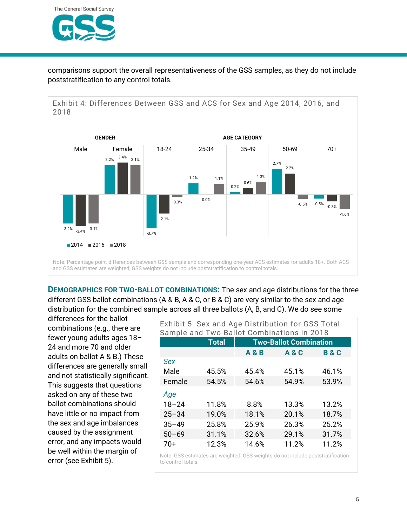

comparisons support the overall representativeness of the GSS samples, as they do not include poststratification to any control totals.



**DEMOGRAPHICS FOR TWO-BALLOT COMBINATIONS:** The sex and age distributions for the three different GSS ballot combinations (A & B, A & C, or B & C) are very similar to the sex and age distribution for the combined sample across all three ballots (A, B, and C). We do see some

differences for the ballot combinations (e.g., there are fewer young adults ages 18– 24 and more 70 and older adults on ballot A & B.) These differences are generally small and not statistically significant. This suggests that questions asked on any of these two ballot combinations should have little or no impact from the sex and age imbalances caused by the assignment error, and any impacts would be well within the margin of error (see Exhibit 5).

| Exhibit 5: Sex and Age Distribution for GSS Total<br>Sample and Two-Ballot Combinations in 2018 |              |                               |                |                |  |  |  |  |
|-------------------------------------------------------------------------------------------------|--------------|-------------------------------|----------------|----------------|--|--|--|--|
|                                                                                                 | <b>Total</b> | <b>Two-Ballot Combination</b> |                |                |  |  |  |  |
|                                                                                                 |              | <b>A &amp; B</b>              | <b>A&amp;C</b> | <b>B&amp;C</b> |  |  |  |  |
| Sex                                                                                             |              |                               |                |                |  |  |  |  |
| Male                                                                                            | 45.5%        | 45.4%                         | 45.1%          | 46.1%          |  |  |  |  |
| Female                                                                                          | 54.5%        | 54.6%                         | 54.9%          | 53.9%          |  |  |  |  |
| Age                                                                                             |              |                               |                |                |  |  |  |  |
| $18 - 24$                                                                                       | 11.8%        | 8.8%                          | 13.3%          | 13.2%          |  |  |  |  |
| $25 - 34$                                                                                       | 19.0%        | 18.1%                         | 20.1%          | 18.7%          |  |  |  |  |
| $35 - 49$                                                                                       | 25.8%        | 25.9%                         | 26.3%          | 25.2%          |  |  |  |  |
| $50 - 69$                                                                                       | 31.1%        | 32.6%                         | 29.1%          | 31.7%          |  |  |  |  |
| 70+                                                                                             | 12.3%        | 14.6%                         | 11.2%          | 11.2%          |  |  |  |  |

Note: GSS estimates are weighted; GSS weights do not include poststratification to control totals.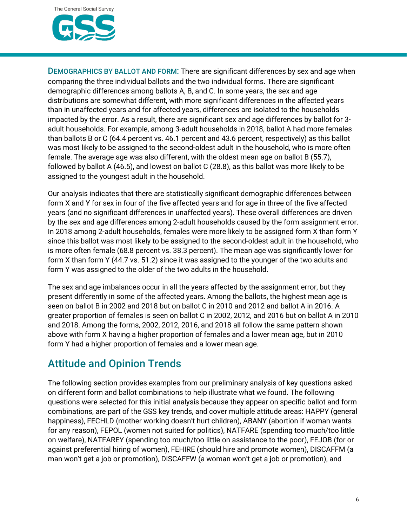DEMOGRAPHICS BY BALLOT AND FORM: There are significant differences by sex and age when comparing the three individual ballots and the two individual forms. There are significant demographic differences among ballots A, B, and C. In some years, the sex and age distributions are somewhat different, with more significant differences in the affected years than in unaffected years and for affected years, differences are isolated to the households impacted by the error. As a result, there are significant sex and age differences by ballot for 3 adult households. For example, among 3-adult households in 2018, ballot A had more females than ballots B or C (64.4 percent vs. 46.1 percent and 43.6 percent, respectively) as this ballot was most likely to be assigned to the second-oldest adult in the household, who is more often female. The average age was also different, with the oldest mean age on ballot B (55.7), followed by ballot A (46.5), and lowest on ballot C (28.8), as this ballot was more likely to be assigned to the youngest adult in the household.

Our analysis indicates that there are statistically significant demographic differences between form X and Y for sex in four of the five affected years and for age in three of the five affected years (and no significant differences in unaffected years). These overall differences are driven by the sex and age differences among 2-adult households caused by the form assignment error. In 2018 among 2-adult households, females were more likely to be assigned form X than form Y since this ballot was most likely to be assigned to the second-oldest adult in the household, who is more often female (68.8 percent vs. 38.3 percent). The mean age was significantly lower for form X than form Y (44.7 vs. 51.2) since it was assigned to the younger of the two adults and form Y was assigned to the older of the two adults in the household.

The sex and age imbalances occur in all the years affected by the assignment error, but they present differently in some of the affected years. Among the ballots, the highest mean age is seen on ballot B in 2002 and 2018 but on ballot C in 2010 and 2012 and ballot A in 2016. A greater proportion of females is seen on ballot C in 2002, 2012, and 2016 but on ballot A in 2010 and 2018. Among the forms, 2002, 2012, 2016, and 2018 all follow the same pattern shown above with form X having a higher proportion of females and a lower mean age, but in 2010 form Y had a higher proportion of females and a lower mean age.

## Attitude and Opinion Trends

The following section provides examples from our preliminary analysis of key questions asked on different form and ballot combinations to help illustrate what we found. The following questions were selected for this initial analysis because they appear on specific ballot and form combinations, are part of the GSS key trends, and cover multiple attitude areas: HAPPY (general happiness), FECHLD (mother working doesn't hurt children), ABANY (abortion if woman wants for any reason), FEPOL (women not suited for politics), NATFARE (spending too much/too little on welfare), NATFAREY (spending too much/too little on assistance to the poor), FEJOB (for or against preferential hiring of women), FEHIRE (should hire and promote women), DISCAFFM (a man won't get a job or promotion), DISCAFFW (a woman won't get a job or promotion), and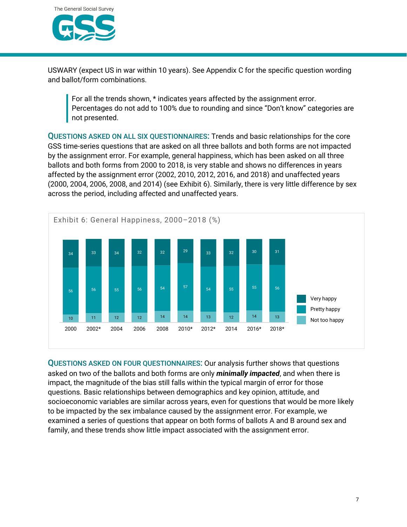

USWARY (expect US in war within 10 years). See Appendix C for the specific question wording and ballot/form combinations.

For all the trends shown, \* indicates years affected by the assignment error. Percentages do not add to 100% due to rounding and since "Don't know" categories are not presented.

QUESTIONS ASKED ON ALL SIX QUESTIONNAIRES: Trends and basic relationships for the core GSS time-series questions that are asked on all three ballots and both forms are not impacted by the assignment error. For example, general happiness, which has been asked on all three ballots and both forms from 2000 to 2018, is very stable and shows no differences in years affected by the assignment error (2002, 2010, 2012, 2016, and 2018) and unaffected years (2000, 2004, 2006, 2008, and 2014) (see Exhibit 6). Similarly, there is very little difference by sex across the period, including affected and unaffected years.



QUESTIONS ASKED ON FOUR QUESTIONNAIRES: Our analysis further shows that questions asked on two of the ballots and both forms are only *minimally impacted*, and when there is impact, the magnitude of the bias still falls within the typical margin of error for those questions. Basic relationships between demographics and key opinion, attitude, and socioeconomic variables are similar across years, even for questions that would be more likely to be impacted by the sex imbalance caused by the assignment error. For example, we examined a series of questions that appear on both forms of ballots A and B around sex and family, and these trends show little impact associated with the assignment error.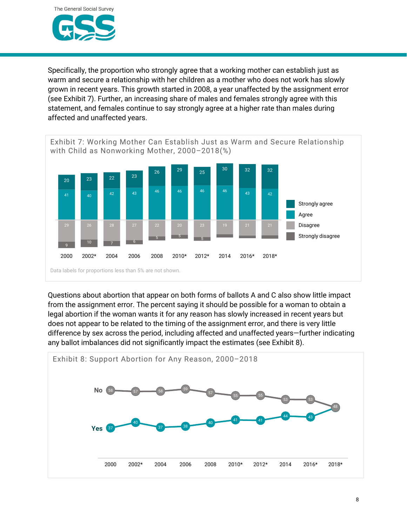

Specifically, the proportion who strongly agree that a working mother can establish just as warm and secure a relationship with her children as a mother who does not work has slowly grown in recent years. This growth started in 2008, a year unaffected by the assignment error (see Exhibit 7). Further, an increasing share of males and females strongly agree with this statement, and females continue to say strongly agree at a higher rate than males during affected and unaffected years.



Questions about abortion that appear on both forms of ballots A and C also show little impact from the assignment error. The percent saying it should be possible for a woman to obtain a legal abortion if the woman wants it for any reason has slowly increased in recent years but does not appear to be related to the timing of the assignment error, and there is very little difference by sex across the period, including affected and unaffected years—further indicating any ballot imbalances did not significantly impact the estimates (see Exhibit 8).

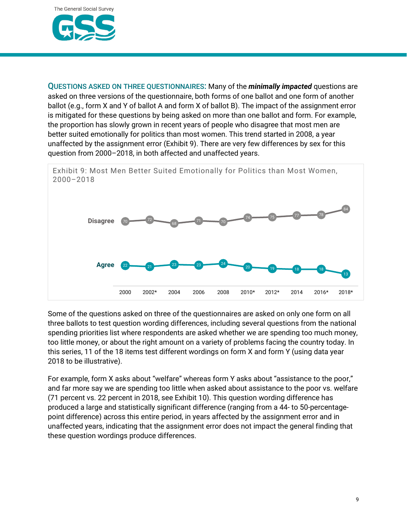

QUESTIONS ASKED ON THREE QUESTIONNAIRES: Many of the *minimally impacted* questions are asked on three versions of the questionnaire, both forms of one ballot and one form of another ballot (e.g., form X and Y of ballot A and form X of ballot B). The impact of the assignment error is mitigated for these questions by being asked on more than one ballot and form. For example, the proportion has slowly grown in recent years of people who disagree that most men are better suited emotionally for politics than most women. This trend started in 2008, a year unaffected by the assignment error (Exhibit 9). There are very few differences by sex for this question from 2000–2018, in both affected and unaffected years.



Some of the questions asked on three of the questionnaires are asked on only one form on all three ballots to test question wording differences, including several questions from the national spending priorities list where respondents are asked whether we are spending too much money, too little money, or about the right amount on a variety of problems facing the country today. In this series, 11 of the 18 items test different wordings on form X and form Y (using data year 2018 to be illustrative).

For example, form X asks about "welfare" whereas form Y asks about "assistance to the poor," and far more say we are spending too little when asked about assistance to the poor vs. welfare (71 percent vs. 22 percent in 2018, see Exhibit 10). This question wording difference has produced a large and statistically significant difference (ranging from a 44- to 50-percentagepoint difference) across this entire period, in years affected by the assignment error and in unaffected years, indicating that the assignment error does not impact the general finding that these question wordings produce differences.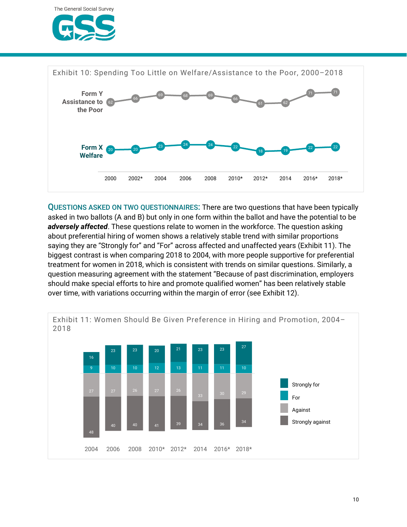



QUESTIONS ASKED ON TWO QUESTIONNAIRES: There are two questions that have been typically asked in two ballots (A and B) but only in one form within the ballot and have the potential to be *adversely affected*. These questions relate to women in the workforce. The question asking about preferential hiring of women shows a relatively stable trend with similar proportions saying they are "Strongly for" and "For" across affected and unaffected years (Exhibit 11). The biggest contrast is when comparing 2018 to 2004, with more people supportive for preferential treatment for women in 2018, which is consistent with trends on similar questions. Similarly, a question measuring agreement with the statement "Because of past discrimination, employers should make special efforts to hire and promote qualified women" has been relatively stable over time, with variations occurring within the margin of error (see Exhibit 12).

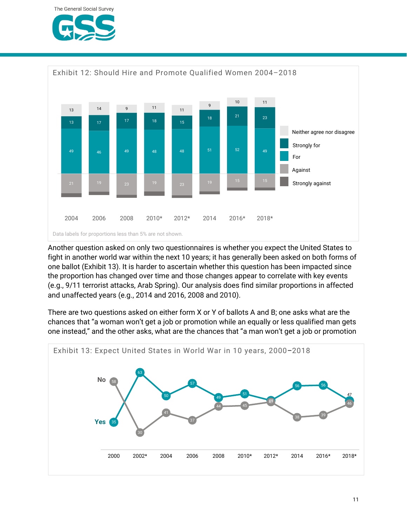



Another question asked on only two questionnaires is whether you expect the United States to fight in another world war within the next 10 years; it has generally been asked on both forms of one ballot (Exhibit 13). It is harder to ascertain whether this question has been impacted since the proportion has changed over time and those changes appear to correlate with key events (e.g., 9/11 terrorist attacks, Arab Spring). Our analysis does find similar proportions in affected and unaffected years (e.g., 2014 and 2016, 2008 and 2010).

There are two questions asked on either form X or Y of ballots A and B; one asks what are the chances that "a woman won't get a job or promotion while an equally or less qualified man gets one instead," and the other asks, what are the chances that "a man won't get a job or promotion

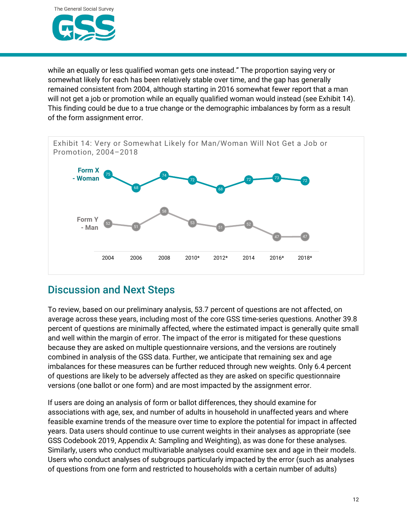

while an equally or less qualified woman gets one instead." The proportion saying very or somewhat likely for each has been relatively stable over time, and the gap has generally remained consistent from 2004, although starting in 2016 somewhat fewer report that a man will not get a job or promotion while an equally qualified woman would instead (see Exhibit 14). This finding could be due to a true change or the demographic imbalances by form as a result of the form assignment error.



### Discussion and Next Steps

To review, based on our preliminary analysis, 53.7 percent of questions are not affected, on average across these years, including most of the core GSS time-series questions. Another 39.8 percent of questions are minimally affected, where the estimated impact is generally quite small and well within the margin of error. The impact of the error is mitigated for these questions because they are asked on multiple questionnaire versions, and the versions are routinely combined in analysis of the GSS data. Further, we anticipate that remaining sex and age imbalances for these measures can be further reduced through new weights. Only 6.4 percent of questions are likely to be adversely affected as they are asked on specific questionnaire versions (one ballot or one form) and are most impacted by the assignment error.

If users are doing an analysis of form or ballot differences, they should examine for associations with age, sex, and number of adults in household in unaffected years and where feasible examine trends of the measure over time to explore the potential for impact in affected years. Data users should continue to use current weights in their analyses as appropriate (see GSS Codebook 2019, Appendix A: Sampling and Weighting), as was done for these analyses. Similarly, users who conduct multivariable analyses could examine sex and age in their models. Users who conduct analyses of subgroups particularly impacted by the error (such as analyses of questions from one form and restricted to households with a certain number of adults)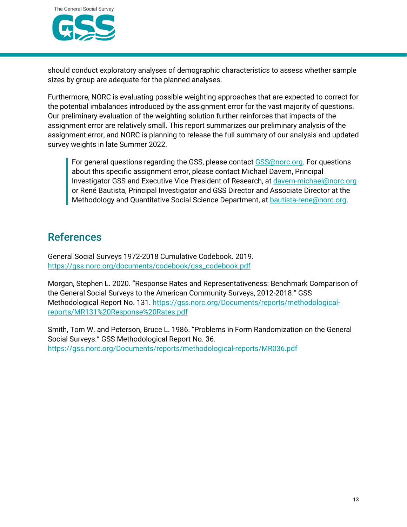

should conduct exploratory analyses of demographic characteristics to assess whether sample sizes by group are adequate for the planned analyses.

Furthermore, NORC is evaluating possible weighting approaches that are expected to correct for the potential imbalances introduced by the assignment error for the vast majority of questions. Our preliminary evaluation of the weighting solution further reinforces that impacts of the assignment error are relatively small. This report summarizes our preliminary analysis of the assignment error, and NORC is planning to release the full summary of our analysis and updated survey weights in late Summer 2022.

For general questions regarding the GSS, please contact [GSS@norc.org.](mailto:GSS@norc.org) For questions about this specific assignment error, please contact Michael Davern, Principal Investigator GSS and Executive Vice President of Research, at [davern-michael@norc.org](mailto:davern-michael@norc.org) or René Bautista, Principal Investigator and GSS Director and Associate Director at the Methodology and Quantitative Social Science Department, at [bautista-rene@norc.org.](mailto:bautista-rene@norc.org)

#### **References**

General Social Surveys 1972-2018 Cumulative Codebook. 2019. [https://gss.norc.org/documents/codebook/gss\\_codebook.pdf](https://gss.norc.org/documents/codebook/gss_codebook.pdf)

Morgan, Stephen L. 2020. "Response Rates and Representativeness: Benchmark Comparison of the General Social Surveys to the American Community Surveys, 2012-2018." GSS Methodological Report No. 131. [https://gss.norc.org/Documents/reports/methodological](https://gss.norc.org/Documents/reports/methodological-reports/MR131%20Response%20Rates.pdf)[reports/MR131%20Response%20Rates.pdf](https://gss.norc.org/Documents/reports/methodological-reports/MR131%20Response%20Rates.pdf)

Smith, Tom W. and Peterson, Bruce L. 1986. "Problems in Form Randomization on the General Social Surveys." GSS Methodological Report No. 36. <https://gss.norc.org/Documents/reports/methodological-reports/MR036.pdf>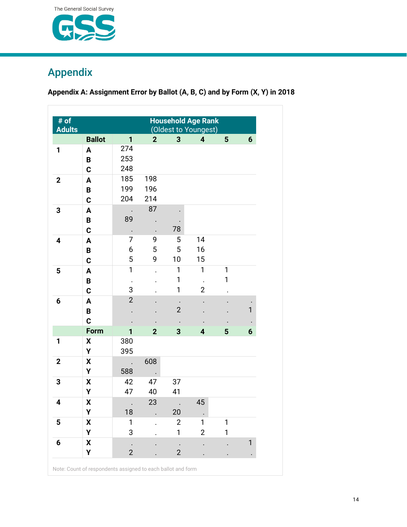

# Appendix

**Appendix A: Assignment Error by Ballot (A, B, C) and by Form (X, Y) in 2018**

| # of<br><b>Adults</b> | <b>Household Age Rank</b><br>(Oldest to Youngest) |                |                      |                |                      |                |              |  |  |  |  |
|-----------------------|---------------------------------------------------|----------------|----------------------|----------------|----------------------|----------------|--------------|--|--|--|--|
|                       | <b>Ballot</b>                                     | $\overline{1}$ | $\overline{2}$       | 3              | 4                    | $5\phantom{1}$ | 6            |  |  |  |  |
| 1                     | A                                                 | 274            |                      |                |                      |                |              |  |  |  |  |
|                       | B                                                 | 253            |                      |                |                      |                |              |  |  |  |  |
|                       | C                                                 | 248            |                      |                |                      |                |              |  |  |  |  |
| $\mathbf{2}$          | A                                                 | 185            | 198                  |                |                      |                |              |  |  |  |  |
|                       | B                                                 | 199            | 196                  |                |                      |                |              |  |  |  |  |
|                       | C                                                 | 204            | 214                  |                |                      |                |              |  |  |  |  |
| 3                     | A                                                 |                | 87                   |                |                      |                |              |  |  |  |  |
|                       | B                                                 | 89             |                      |                |                      |                |              |  |  |  |  |
|                       | C                                                 | $\bullet$      |                      | 78             |                      |                |              |  |  |  |  |
| 4                     | A                                                 | 7              | 9                    | 5              | 14                   |                |              |  |  |  |  |
|                       | B                                                 | 6              | 5                    | 5              | 16                   |                |              |  |  |  |  |
|                       | $\mathbf c$                                       | 5              | 9                    | 10             | 15                   |                |              |  |  |  |  |
| 5                     | A                                                 | $\mathbf{1}$   | $\ddot{\phantom{0}}$ | $\mathbf{1}$   | $\mathbf{1}$         | $\mathbf{1}$   |              |  |  |  |  |
|                       | B                                                 |                |                      | 1              | $\ddot{\phantom{a}}$ | 1              |              |  |  |  |  |
|                       | C                                                 | 3              |                      | 1              | $\overline{2}$       |                |              |  |  |  |  |
| $6\phantom{1}$        | A                                                 | $\overline{2}$ |                      |                |                      |                |              |  |  |  |  |
|                       | B                                                 |                |                      | $\overline{2}$ |                      |                | $\mathbf{1}$ |  |  |  |  |
|                       | $\mathbf c$                                       |                |                      |                |                      |                |              |  |  |  |  |
|                       | Form                                              | 1              | $\overline{2}$       | 3              | 4                    | 5              | 6            |  |  |  |  |
| 1                     | X                                                 | 380            |                      |                |                      |                |              |  |  |  |  |
|                       | Υ                                                 | 395            |                      |                |                      |                |              |  |  |  |  |
| $\overline{2}$        | X                                                 |                | 608                  |                |                      |                |              |  |  |  |  |
|                       | Υ                                                 | 588            | $\bullet$            |                |                      |                |              |  |  |  |  |
| 3                     | $\pmb{\mathsf{X}}$                                | 42             | 47                   | 37             |                      |                |              |  |  |  |  |
|                       | Υ                                                 | 47             | 40                   | 41             |                      |                |              |  |  |  |  |
| 4                     | X                                                 |                | 23                   |                | 45                   |                |              |  |  |  |  |
|                       | Υ                                                 | 18             |                      | 20             |                      |                |              |  |  |  |  |
| 5                     | X                                                 | 1              |                      | $\overline{2}$ | 1                    | 1              |              |  |  |  |  |
|                       | Υ                                                 | 3              |                      | 1              | $\overline{2}$       | 1              |              |  |  |  |  |
| 6                     | X                                                 |                |                      |                |                      |                | 1            |  |  |  |  |
|                       | Υ                                                 | $\overline{2}$ |                      | $\overline{2}$ |                      |                |              |  |  |  |  |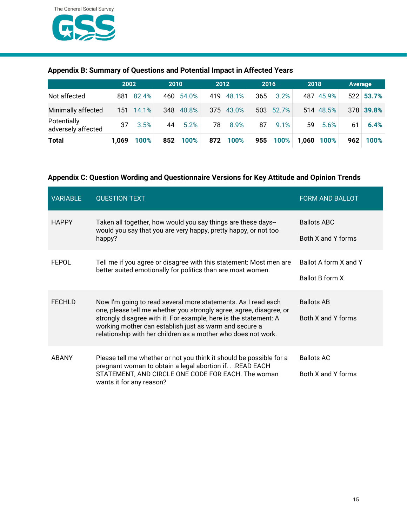

|                                   | 2002  |           | 2010 |           | 2012 |           | 2016 |           | 2018 |            | <b>Average</b> |           |
|-----------------------------------|-------|-----------|------|-----------|------|-----------|------|-----------|------|------------|----------------|-----------|
| Not affected                      |       | 881 82.4% |      | 460 54.0% |      | 419 48.1% | 365  | 3.2%      |      | 487 45.9%  |                | 522 53.7% |
| Minimally affected                |       | 151 14.1% |      | 348 40.8% |      | 375 43.0% |      | 503 52.7% |      | 514 48.5%  |                | 378 39.8% |
| Potentially<br>adversely affected | 37    | 3.5%      | 44   | 5.2%      | 78   | 8.9%      | 87   | 9.1%      | 59   | 5.6%       | 61             | 6.4%      |
| <b>Total</b>                      | 1.069 | 100%      |      | 852 100%  |      | 872 100%  |      | 955 100%  |      | 1,060 100% | 962            | 100%      |

#### **Appendix B: Summary of Questions and Potential Impact in Affected Years**

#### **Appendix C: Question Wording and Questionnaire Versions for Key Attitude and Opinion Trends**

| <b>VARIABLE</b> | <b>QUESTION TEXT</b>                                                                                                                                                                                                                                                                                                                | <b>FORM AND BALLOT</b>                   |
|-----------------|-------------------------------------------------------------------------------------------------------------------------------------------------------------------------------------------------------------------------------------------------------------------------------------------------------------------------------------|------------------------------------------|
| <b>HAPPY</b>    | Taken all together, how would you say things are these days--<br>would you say that you are very happy, pretty happy, or not too<br>happy?                                                                                                                                                                                          | <b>Ballots ABC</b><br>Both X and Y forms |
| <b>FEPOL</b>    | Tell me if you agree or disagree with this statement: Most men are<br>better suited emotionally for politics than are most women.                                                                                                                                                                                                   | Ballot A form X and Y<br>Ballot B form X |
| <b>FECHLD</b>   | Now I'm going to read several more statements. As I read each<br>one, please tell me whether you strongly agree, agree, disagree, or<br>strongly disagree with it. For example, here is the statement: A<br>working mother can establish just as warm and secure a<br>relationship with her children as a mother who does not work. | <b>Ballots AB</b><br>Both X and Y forms  |
| <b>ABANY</b>    | Please tell me whether or not you think it should be possible for a<br>pregnant woman to obtain a legal abortion if. READ EACH<br>STATEMENT, AND CIRCLE ONE CODE FOR EACH. The woman<br>wants it for any reason?                                                                                                                    | <b>Ballots AC</b><br>Both X and Y forms  |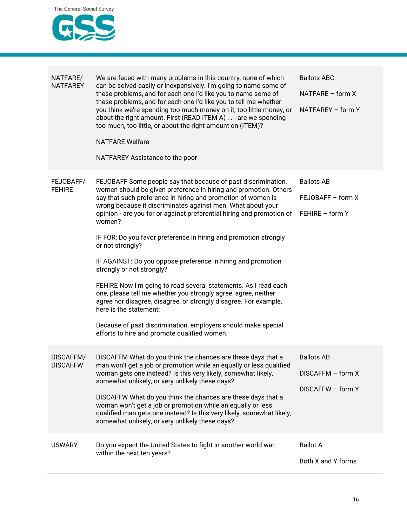

| NATFARE/<br><b>NATFAREY</b>  | We are faced with many problems in this country, none of which<br>can be solved easily or inexpensively. I'm going to name some of<br>these problems, and for each one I'd like you to name some of<br>these problems, and for each one I'd like you to tell me whether<br>you think we're spending too much money on it, too little money, or<br>about the right amount. First (READ ITEM A) are we spending<br>too much, too little, or about the right amount on (ITEM)?<br><b>NATFARE Welfare</b><br>NATFAREY Assistance to the poor                                                                                                                                                                                                                                                                                                                                                     | <b>Ballots ABC</b><br>NATFARE - form X<br>NATFAREY - form Y |
|------------------------------|----------------------------------------------------------------------------------------------------------------------------------------------------------------------------------------------------------------------------------------------------------------------------------------------------------------------------------------------------------------------------------------------------------------------------------------------------------------------------------------------------------------------------------------------------------------------------------------------------------------------------------------------------------------------------------------------------------------------------------------------------------------------------------------------------------------------------------------------------------------------------------------------|-------------------------------------------------------------|
| FEJOBAFF/<br><b>FEHIRE</b>   | FEJOBAFF Some people say that because of past discrimination,<br>women should be given preference in hiring and promotion. Others<br>say that such preference in hiring and promotion of women is<br>wrong because it discriminates against men. What about your<br>opinion - are you for or against preferential hiring and promotion of<br>women?<br>IF FOR: Do you favor preference in hiring and promotion strongly<br>or not strongly?<br>IF AGAINST: Do you oppose preference in hiring and promotion<br>strongly or not strongly?<br>FEHIRE Now I'm going to read several statements. As I read each<br>one, please tell me whether you strongly agree, agree, neither<br>agree nor disagree, disagree, or strongly disagree. For example,<br>here is the statement:<br>Because of past discrimination, employers should make special<br>efforts to hire and promote qualified women. | <b>Ballots AB</b><br>FEJOBAFF - form X<br>FEHIRE - form Y   |
| DISCAFFM/<br><b>DISCAFFW</b> | DISCAFFM What do you think the chances are these days that a<br>man won't get a job or promotion while an equally or less qualified<br>woman gets one instead? Is this very likely, somewhat likely,<br>somewhat unlikely, or very unlikely these days?<br>DISCAFFW What do you think the chances are these days that a<br>woman won't get a job or promotion while an equally or less<br>qualified man gets one instead? Is this very likely, somewhat likely,<br>somewhat unlikely, or very unlikely these days?                                                                                                                                                                                                                                                                                                                                                                           | <b>Ballots AB</b><br>DISCAFFM - form X<br>DISCAFFW - form Y |
| <b>USWARY</b>                | Do you expect the United States to fight in another world war<br>within the next ten years?                                                                                                                                                                                                                                                                                                                                                                                                                                                                                                                                                                                                                                                                                                                                                                                                  | <b>Ballot A</b><br>Both X and Y forms                       |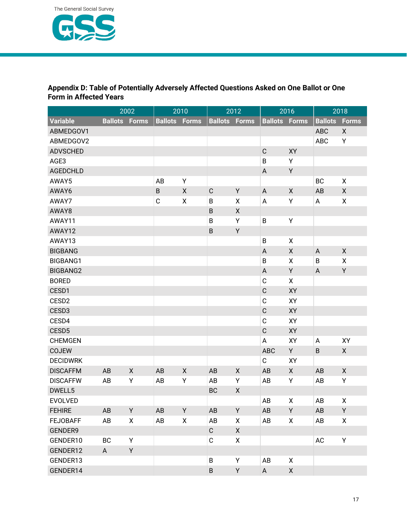

#### **Appendix D: Table of Potentially Adversely Affected Questions Asked on One Ballot or One Form in Affected Years**

|                   |                | 2002         |                      | 2010               |                      | 2012               |                      | 2016         |                | 2018         |
|-------------------|----------------|--------------|----------------------|--------------------|----------------------|--------------------|----------------------|--------------|----------------|--------------|
| <b>Variable</b>   | <b>Ballots</b> | <b>Forms</b> | <b>Ballots Forms</b> |                    | <b>Ballots Forms</b> |                    | <b>Ballots Forms</b> |              | <b>Ballots</b> | <b>Forms</b> |
| ABMEDGOV1         |                |              |                      |                    |                      |                    |                      |              | <b>ABC</b>     | X            |
| ABMEDGOV2         |                |              |                      |                    |                      |                    |                      |              | <b>ABC</b>     | Υ            |
| <b>ADVSCHED</b>   |                |              |                      |                    |                      |                    | $\mathsf C$          | XY           |                |              |
| AGE3              |                |              |                      |                    |                      |                    | $\overline{B}$       | Υ            |                |              |
| <b>AGEDCHLD</b>   |                |              |                      |                    |                      |                    | A                    | Y            |                |              |
| AWAY5             |                |              | AB                   | Υ                  |                      |                    |                      |              | BC             | X            |
| AWAY6             |                |              | $\sf B$              | X                  | $\mathsf C$          | Y                  | A                    | $\mathsf{X}$ | AB             | X            |
| AWAY7             |                |              | $\mathsf C$          | X                  | B                    | X                  | A                    | Υ            | A              | X            |
| AWAY8             |                |              |                      |                    | $\sf B$              | $\pmb{\mathsf{X}}$ |                      |              |                |              |
| AWAY11            |                |              |                      |                    | B                    | Υ                  | $\overline{B}$       | Υ            |                |              |
| AWAY12            |                |              |                      |                    | $\sf B$              | Υ                  |                      |              |                |              |
| AWAY13            |                |              |                      |                    |                      |                    | $\overline{B}$       | X            |                |              |
| <b>BIGBANG</b>    |                |              |                      |                    |                      |                    | A                    | $\mathsf{X}$ | A              | X            |
| BIGBANG1          |                |              |                      |                    |                      |                    | B                    | X            | B              | X            |
| BIGBANG2          |                |              |                      |                    |                      |                    | A                    | Y            | A              | Y            |
| <b>BORED</b>      |                |              |                      |                    |                      |                    | $\mathbf C$          | X            |                |              |
| CESD1             |                |              |                      |                    |                      |                    | $\mathsf C$          | XY           |                |              |
| CESD <sub>2</sub> |                |              |                      |                    |                      |                    | $\mathbb C$          | XY           |                |              |
| CESD3             |                |              |                      |                    |                      |                    | $\mathsf C$          | XY           |                |              |
| CESD4             |                |              |                      |                    |                      |                    | $\mathbf C$          | XY           |                |              |
| CESD <sub>5</sub> |                |              |                      |                    |                      |                    | $\mathsf C$          | XY           |                |              |
| <b>CHEMGEN</b>    |                |              |                      |                    |                      |                    | A                    | XY           | A              | XY           |
| <b>COJEW</b>      |                |              |                      |                    |                      |                    | <b>ABC</b>           | Y            | B              | $\mathsf{X}$ |
| <b>DECIDWRK</b>   |                |              |                      |                    |                      |                    | $\mathbf C$          | XY           |                |              |
| <b>DISCAFFM</b>   | AB             | X            | AB                   | $\pmb{\mathsf{X}}$ | AB                   | $\mathsf{X}$       | AB                   | $\mathsf{X}$ | AB             | X            |
| <b>DISCAFFW</b>   | AB             | Υ            | AB                   | Υ                  | AB                   | Υ                  | AB                   | Υ            | AB             | Υ            |
| DWELL5            |                |              |                      |                    | <b>BC</b>            | X                  |                      |              |                |              |
| <b>EVOLVED</b>    |                |              |                      |                    |                      |                    | AB                   | X            | AB             | Χ            |
| <b>FEHIRE</b>     | AB             | Y            | AB                   | Y                  | AB                   | Y                  | AB                   | Y            | AB             | Y            |
| <b>FEJOBAFF</b>   | AB             | X            | AB                   | X                  | AB                   | X                  | AB                   | X            | AB             | X            |
| GENDER9           |                |              |                      |                    | $\mathsf C$          | $\mathsf{X}$       |                      |              |                |              |
| GENDER10          | BC             | Y            |                      |                    | $\mathsf C$          | X                  |                      |              | AC             | Υ            |
| GENDER12          | $\mathsf{A}$   | Y            |                      |                    |                      |                    |                      |              |                |              |
| GENDER13          |                |              |                      |                    | $\sf B$              | Y                  | AB                   | X            |                |              |
| GENDER14          |                |              |                      |                    | B                    | Y                  | $\mathsf{A}$         | $\mathsf{X}$ |                |              |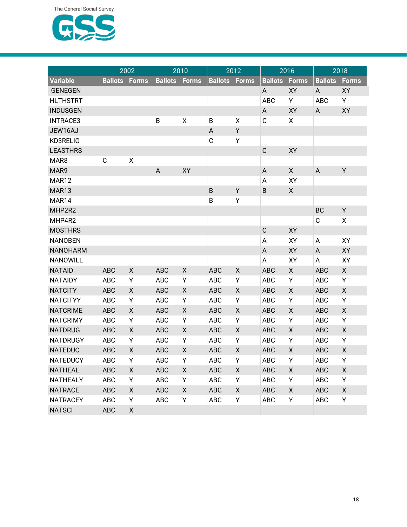

|                 |                | 2002               | 2010           |              | 2012           |              | 2016           |                    | 2018           |              |
|-----------------|----------------|--------------------|----------------|--------------|----------------|--------------|----------------|--------------------|----------------|--------------|
| <b>Variable</b> | <b>Ballots</b> | <b>Forms</b>       | <b>Ballots</b> | <b>Forms</b> | <b>Ballots</b> | <b>Forms</b> | <b>Ballots</b> | <b>Forms</b>       | <b>Ballots</b> | <b>Forms</b> |
| <b>GENEGEN</b>  |                |                    |                |              |                |              | A              | XY                 | A              | XY           |
| <b>HLTHSTRT</b> |                |                    |                |              |                |              | <b>ABC</b>     | Υ                  | <b>ABC</b>     | Y            |
| <b>INDUSGEN</b> |                |                    |                |              |                |              | A              | XY                 | A              | XY           |
| <b>INTRACE3</b> |                |                    | B              | χ            | $\sf B$        | Χ            | $\mathbf C$    | χ                  |                |              |
| JEW16AJ         |                |                    |                |              | A              | Υ            |                |                    |                |              |
| KD3RELIG        |                |                    |                |              | $\mathsf C$    | Υ            |                |                    |                |              |
| <b>LEASTHRS</b> |                |                    |                |              |                |              | $\mathsf C$    | XY                 |                |              |
| MAR8            | $\mathsf C$    | $\pmb{\mathsf{X}}$ |                |              |                |              |                |                    |                |              |
| MAR9            |                |                    | A              | XY           |                |              | A              | X                  | A              | Y            |
| MAR12           |                |                    |                |              |                |              | A              | XY                 |                |              |
| MAR13           |                |                    |                |              | $\sf B$        | Υ            | B              | X                  |                |              |
| MAR14           |                |                    |                |              | B              | Υ            |                |                    |                |              |
| MHP2R2          |                |                    |                |              |                |              |                |                    | BC             | Y            |
| MHP4R2          |                |                    |                |              |                |              |                |                    | $\mathbf C$    | X            |
| <b>MOSTHRS</b>  |                |                    |                |              |                |              | $\mathsf C$    | XY                 |                |              |
| <b>NANOBEN</b>  |                |                    |                |              |                |              | Α              | XY                 | A              | XY           |
| <b>NANOHARM</b> |                |                    |                |              |                |              | A              | XY                 | A              | XY           |
| <b>NANOWILL</b> |                |                    |                |              |                |              | A              | XY                 | A              | XY           |
| <b>NATAID</b>   | <b>ABC</b>     | X                  | <b>ABC</b>     | X            | <b>ABC</b>     | X            | <b>ABC</b>     | X                  | <b>ABC</b>     | X            |
| <b>NATAIDY</b>  | <b>ABC</b>     | Υ                  | <b>ABC</b>     | Υ            | ABC            | Υ            | <b>ABC</b>     | Υ                  | <b>ABC</b>     | Υ            |
| <b>NATCITY</b>  | <b>ABC</b>     | X                  | <b>ABC</b>     | X            | <b>ABC</b>     | X            | <b>ABC</b>     | X                  | <b>ABC</b>     | X            |
| <b>NATCITYY</b> | <b>ABC</b>     | Υ                  | <b>ABC</b>     | Υ            | <b>ABC</b>     | Υ            | ABC            | Υ                  | <b>ABC</b>     | Υ            |
| <b>NATCRIME</b> | <b>ABC</b>     | X                  | <b>ABC</b>     | Χ            | <b>ABC</b>     | X            | <b>ABC</b>     | $\pmb{\mathsf{X}}$ | <b>ABC</b>     | X            |
| <b>NATCRIMY</b> | <b>ABC</b>     | Υ                  | <b>ABC</b>     | Υ            | <b>ABC</b>     | Υ            | <b>ABC</b>     | Υ                  | <b>ABC</b>     | Υ            |
| <b>NATDRUG</b>  | <b>ABC</b>     | X                  | <b>ABC</b>     | X            | <b>ABC</b>     | X            | <b>ABC</b>     | X                  | <b>ABC</b>     | X            |
| <b>NATDRUGY</b> | <b>ABC</b>     | Υ                  | <b>ABC</b>     | Υ            | <b>ABC</b>     | Υ            | <b>ABC</b>     | Υ                  | <b>ABC</b>     | Υ            |
| <b>NATEDUC</b>  | <b>ABC</b>     | $\pmb{\mathsf{X}}$ | <b>ABC</b>     | Χ            | <b>ABC</b>     | Χ            | <b>ABC</b>     | $\pmb{\mathsf{X}}$ | <b>ABC</b>     | X            |
| NATEDUCY        | ABC            | Y                  | ABC            | Y            | ABC            | Υ            | ABC            | Y                  | ABC            | Υ            |
| <b>NATHEAL</b>  | <b>ABC</b>     | X                  | <b>ABC</b>     | X            | ABC            | X            | <b>ABC</b>     | X                  | <b>ABC</b>     | X            |
| <b>NATHEALY</b> | ABC            | Υ                  | ABC            | Υ            | ABC            | Υ            | ABC            | Υ                  | <b>ABC</b>     | Y            |
| <b>NATRACE</b>  | ABC            | X                  | <b>ABC</b>     | X            | ABC            | X            | <b>ABC</b>     | X                  | <b>ABC</b>     | X            |
| <b>NATRACEY</b> | ABC            | Υ                  | ABC            | Υ            | ABC            | Υ            | <b>ABC</b>     | Υ                  | ABC            | Υ            |
| <b>NATSCI</b>   | ABC            | X                  |                |              |                |              |                |                    |                |              |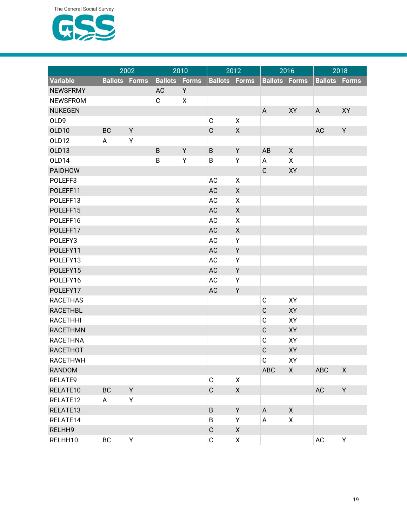

|                 |                | 2002         | 2010           |              | 2012                 |              | 2016           |                    | 2018           |              |
|-----------------|----------------|--------------|----------------|--------------|----------------------|--------------|----------------|--------------------|----------------|--------------|
| <b>Variable</b> | <b>Ballots</b> | <b>Forms</b> | <b>Ballots</b> | <b>Forms</b> | <b>Ballots Forms</b> |              | <b>Ballots</b> | <b>Forms</b>       | <b>Ballots</b> | <b>Forms</b> |
| <b>NEWSFRMY</b> |                |              | AC             | Υ            |                      |              |                |                    |                |              |
| <b>NEWSFROM</b> |                |              | $\mathbf C$    | X            |                      |              |                |                    |                |              |
| <b>NUKEGEN</b>  |                |              |                |              |                      |              | A              | XY                 | A              | XY           |
| OLD9            |                |              |                |              | $\mathsf C$          | Χ            |                |                    |                |              |
| OLD10           | BC             | Y            |                |              | $\mathsf C$          | $\mathsf{X}$ |                |                    | AC             | Υ            |
| OLD12           | A              | Υ            |                |              |                      |              |                |                    |                |              |
| OLD13           |                |              | $\sf B$        | Y            | B                    | Υ            | AB             | $\pmb{\times}$     |                |              |
| OLD14           |                |              | B              | Υ            | $\sf B$              | Υ            | Α              | X                  |                |              |
| <b>PAIDHOW</b>  |                |              |                |              |                      |              | $\mathsf C$    | XY                 |                |              |
| POLEFF3         |                |              |                |              | AC                   | X            |                |                    |                |              |
| POLEFF11        |                |              |                |              | AC                   | Χ            |                |                    |                |              |
| POLEFF13        |                |              |                |              | AC                   | X            |                |                    |                |              |
| POLEFF15        |                |              |                |              | AC                   | X            |                |                    |                |              |
| POLEFF16        |                |              |                |              | AC                   | X            |                |                    |                |              |
| POLEFF17        |                |              |                |              | AC                   | Χ            |                |                    |                |              |
| POLEFY3         |                |              |                |              | AC                   | Υ            |                |                    |                |              |
| POLEFY11        |                |              |                |              | AC                   | Υ            |                |                    |                |              |
| POLEFY13        |                |              |                |              | AC                   | Υ            |                |                    |                |              |
| POLEFY15        |                |              |                |              | AC                   | Υ            |                |                    |                |              |
| POLEFY16        |                |              |                |              | AC                   | Υ            |                |                    |                |              |
| POLEFY17        |                |              |                |              | AC                   | Υ            |                |                    |                |              |
| <b>RACETHAS</b> |                |              |                |              |                      |              | $\mathbf C$    | XY                 |                |              |
| <b>RACETHBL</b> |                |              |                |              |                      |              | $\mathsf C$    | XY                 |                |              |
| <b>RACETHHI</b> |                |              |                |              |                      |              | $\mathbf C$    | XY                 |                |              |
| <b>RACETHMN</b> |                |              |                |              |                      |              | $\mathsf C$    | XY                 |                |              |
| <b>RACETHNA</b> |                |              |                |              |                      |              | $\mathbf C$    | XY                 |                |              |
| <b>RACETHOT</b> |                |              |                |              |                      |              | $\mathsf C$    | XY                 |                |              |
| RACETHWH        |                |              |                |              |                      |              | $\mathbf C$    | XY                 |                |              |
| <b>RANDOM</b>   |                |              |                |              |                      |              | <b>ABC</b>     | $\mathsf{X}$       | ABC            | X            |
| RELATE9         |                |              |                |              | $\mathsf C$          | X            |                |                    |                |              |
| RELATE10        | BC             | Y            |                |              | $\mathsf C$          | X            |                |                    | AC             | Y            |
| RELATE12        | A              | Υ            |                |              |                      |              |                |                    |                |              |
| RELATE13        |                |              |                |              | B                    | Y            | $\mathsf{A}$   | $\pmb{\mathsf{X}}$ |                |              |
| RELATE14        |                |              |                |              | B                    | Υ            | A              | X                  |                |              |
| RELHH9          |                |              |                |              | $\mathsf C$          | X            |                |                    |                |              |
| RELHH10         | BC             | Υ            |                |              | $\mathsf C$          | X            |                |                    | $\mathsf{AC}$  | Υ            |